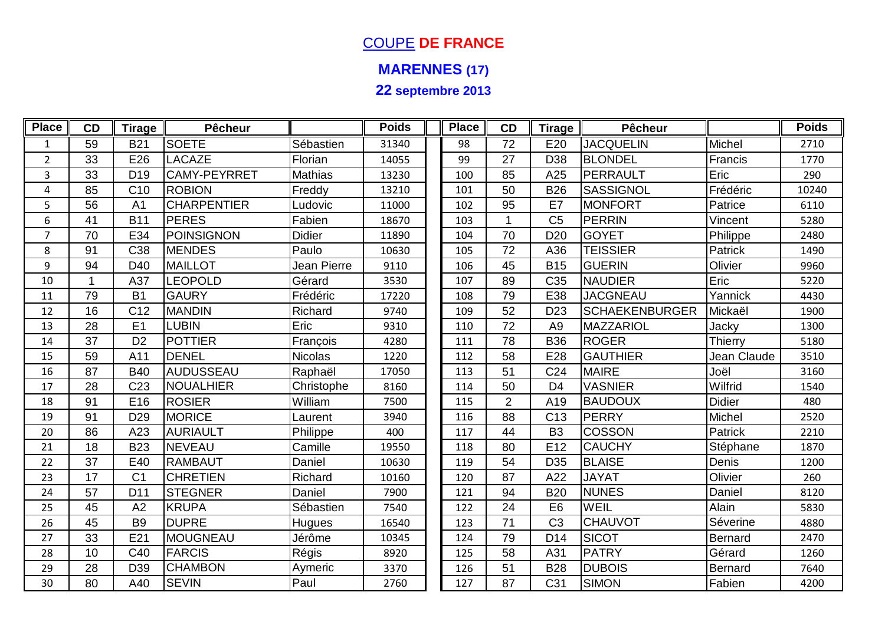## COUPE **DE FRANCE**

## **MARENNES (17)**

**22 septembre 2013**

| <b>Place</b>     | CD | <b>Tirage</b>   | <b>Pêcheur</b>      |                | <b>Poids</b> | <b>Place</b> | CD             | <b>Tirage</b>   | Pêcheur               |               | <b>Poids</b> |
|------------------|----|-----------------|---------------------|----------------|--------------|--------------|----------------|-----------------|-----------------------|---------------|--------------|
| $\mathbf{1}$     | 59 | <b>B21</b>      | <b>SOETE</b>        | Sébastien      | 31340        | 98           | 72             | E20             | <b>JACQUELIN</b>      | Michel        | 2710         |
| $\overline{2}$   | 33 | E26             | <b>LACAZE</b>       | Florian        | 14055        | 99           | 27             | D38             | <b>BLONDEL</b>        | Francis       | 1770         |
| $\mathbf{3}$     | 33 | D <sub>19</sub> | <b>CAMY-PEYRRET</b> | <b>Mathias</b> | 13230        | 100          | 85             | A25             | PERRAULT              | Eric          | 290          |
| 4                | 85 | C <sub>10</sub> | <b>ROBION</b>       | Freddy         | 13210        | 101          | 50             | <b>B26</b>      | <b>SASSIGNOL</b>      | Frédéric      | 10240        |
| 5                | 56 | A <sub>1</sub>  | <b>CHARPENTIER</b>  | Ludovic        | 11000        | 102          | 95             | E7              | MONFORT               | Patrice       | 6110         |
| $\boldsymbol{6}$ | 41 | <b>B11</b>      | <b>PERES</b>        | Fabien         | 18670        | 103          |                | C <sub>5</sub>  | PERRIN                | Vincent       | 5280         |
| $\overline{7}$   | 70 | E34             | <b>POINSIGNON</b>   | <b>Didier</b>  | 11890        | 104          | 70             | D <sub>20</sub> | <b>GOYET</b>          | Philippe      | 2480         |
| 8                | 91 | C <sub>38</sub> | <b>MENDES</b>       | Paulo          | 10630        | 105          | 72             | A36             | <b>TEISSIER</b>       | Patrick       | 1490         |
| 9                | 94 | D40             | <b>MAILLOT</b>      | Jean Pierre    | 9110         | 106          | 45             | <b>B15</b>      | <b>GUERIN</b>         | Olivier       | 9960         |
| 10               |    | A37             | <b>LEOPOLD</b>      | Gérard         | 3530         | 107          | 89             | C <sub>35</sub> | <b>NAUDIER</b>        | Eric          | 5220         |
| 11               | 79 | <b>B1</b>       | <b>GAURY</b>        | Frédéric       | 17220        | 108          | 79             | E38             | <b>JACGNEAU</b>       | Yannick       | 4430         |
| 12               | 16 | C <sub>12</sub> | <b>MANDIN</b>       | Richard        | 9740         | 109          | 52             | D <sub>23</sub> | <b>SCHAEKENBURGER</b> | Mickaël       | 1900         |
| 13               | 28 | E <sub>1</sub>  | <b>LUBIN</b>        | Eric           | 9310         | 110          | 72             | A <sub>9</sub>  | MAZZARIOL             | Jacky         | 1300         |
| 14               | 37 | D <sub>2</sub>  | <b>POTTIER</b>      | François       | 4280         | 111          | 78             | <b>B36</b>      | <b>ROGER</b>          | Thierry       | 5180         |
| 15               | 59 | A11             | <b>DENEL</b>        | <b>Nicolas</b> | 1220         | 112          | 58             | E28             | <b>GAUTHIER</b>       | Jean Claude   | 3510         |
| 16               | 87 | <b>B40</b>      | AUDUSSEAU           | Raphaël        | 17050        | 113          | 51             | C <sub>24</sub> | <b>MAIRE</b>          | Joël          | 3160         |
| 17               | 28 | C <sub>23</sub> | NOUALHIER           | Christophe     | 8160         | 114          | 50             | D <sub>4</sub>  | <b>VASNIER</b>        | Wilfrid       | 1540         |
| 18               | 91 | E16             | <b>ROSIER</b>       | William        | 7500         | 115          | $\overline{2}$ | A19             | <b>BAUDOUX</b>        | <b>Didier</b> | 480          |
| 19               | 91 | D <sub>29</sub> | <b>MORICE</b>       | Laurent        | 3940         | 116          | 88             | C <sub>13</sub> | PERRY                 | Michel        | 2520         |
| 20               | 86 | A23             | <b>AURIAULT</b>     | Philippe       | 400          | 117          | 44             | B <sub>3</sub>  | <b>COSSON</b>         | Patrick       | 2210         |
| 21               | 18 | <b>B23</b>      | <b>NEVEAU</b>       | Camille        | 19550        | 118          | 80             | E12             | <b>CAUCHY</b>         | Stéphane      | 1870         |
| 22               | 37 | E40             | <b>RAMBAUT</b>      | Daniel         | 10630        | 119          | 54             | D <sub>35</sub> | <b>BLAISE</b>         | Denis         | 1200         |
| 23               | 17 | C <sub>1</sub>  | <b>CHRETIEN</b>     | Richard        | 10160        | 120          | 87             | A22             | <b>JAYAT</b>          | Olivier       | 260          |
| 24               | 57 | D <sub>11</sub> | <b>STEGNER</b>      | Daniel         | 7900         | 121          | 94             | <b>B20</b>      | <b>NUNES</b>          | Daniel        | 8120         |
| 25               | 45 | A2              | <b>KRUPA</b>        | Sébastien      | 7540         | 122          | 24             | E <sub>6</sub>  | <b>WEIL</b>           | Alain         | 5830         |
| 26               | 45 | <b>B9</b>       | <b>DUPRE</b>        | Hugues         | 16540        | 123          | 71             | C <sub>3</sub>  | <b>CHAUVOT</b>        | Séverine      | 4880         |
| 27               | 33 | E21             | <b>MOUGNEAU</b>     | Jérôme         | 10345        | 124          | 79             | D <sub>14</sub> | <b>SICOT</b>          | Bernard       | 2470         |
| 28               | 10 | C40             | <b>FARCIS</b>       | Régis          | 8920         | 125          | 58             | A31             | <b>PATRY</b>          | Gérard        | 1260         |
| 29               | 28 | D39             | <b>CHAMBON</b>      | Aymeric        | 3370         | 126          | 51             | <b>B28</b>      | <b>DUBOIS</b>         | Bernard       | 7640         |
| 30               | 80 | A40             | <b>SEVIN</b>        | Paul           | 2760         | 127          | 87             | C <sub>31</sub> | <b>SIMON</b>          | Fabien        | 4200         |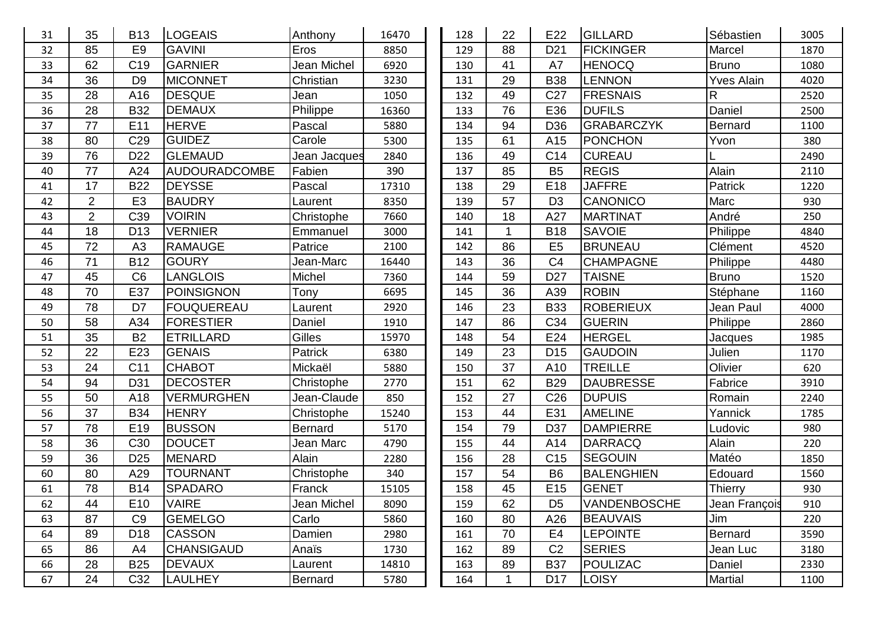| 31 | 35             | <b>B13</b>      | <b>LOGEAIS</b>       | Anthony        | 16470 | 128 | 22           | E22             | <b>GILLARD</b>    | Sébastien         | 3005 |
|----|----------------|-----------------|----------------------|----------------|-------|-----|--------------|-----------------|-------------------|-------------------|------|
| 32 | 85             | E <sub>9</sub>  | <b>GAVINI</b>        | Eros           | 8850  | 129 | 88           | D <sub>21</sub> | <b>FICKINGER</b>  | Marcel            | 1870 |
| 33 | 62             | C <sub>19</sub> | GARNIER              | Jean Michel    | 6920  | 130 | 41           | A7              | <b>HENOCQ</b>     | <b>Bruno</b>      | 1080 |
| 34 | 36             | D <sub>9</sub>  | <b>MICONNET</b>      | Christian      | 3230  | 131 | 29           | <b>B38</b>      | <b>LENNON</b>     | <b>Yves Alain</b> | 4020 |
| 35 | 28             | A16             | <b>DESQUE</b>        | Jean           | 1050  | 132 | 49           | C <sub>27</sub> | <b>FRESNAIS</b>   | $\mathsf{R}$      | 2520 |
| 36 | 28             | <b>B32</b>      | <b>DEMAUX</b>        | Philippe       | 16360 | 133 | 76           | E36             | <b>DUFILS</b>     | Daniel            | 2500 |
| 37 | 77             | E11             | <b>HERVE</b>         | Pascal         | 5880  | 134 | 94           | D36             | <b>GRABARCZYK</b> | <b>Bernard</b>    | 1100 |
| 38 | 80             | C <sub>29</sub> | <b>GUIDEZ</b>        | Carole         | 5300  | 135 | 61           | A15             | <b>PONCHON</b>    | Yvon              | 380  |
| 39 | 76             | D <sub>22</sub> | <b>GLEMAUD</b>       | Jean Jacques   | 2840  | 136 | 49           | C14             | <b>CUREAU</b>     |                   | 2490 |
| 40 | 77             | A24             | <b>AUDOURADCOMBE</b> | Fabien         | 390   | 137 | 85           | <b>B5</b>       | <b>REGIS</b>      | Alain             | 2110 |
| 41 | 17             | <b>B22</b>      | <b>DEYSSE</b>        | Pascal         | 17310 | 138 | 29           | E18             | <b>JAFFRE</b>     | Patrick           | 1220 |
| 42 | $\overline{2}$ | E <sub>3</sub>  | <b>BAUDRY</b>        | Laurent        | 8350  | 139 | 57           | D <sub>3</sub>  | CANONICO          | Marc              | 930  |
| 43 | $\overline{2}$ | C39             | <b>VOIRIN</b>        | Christophe     | 7660  | 140 | 18           | A27             | <b>MARTINAT</b>   | André             | 250  |
| 44 | 18             | D <sub>13</sub> | <b>VERNIER</b>       | Emmanuel       | 3000  | 141 |              | <b>B18</b>      | <b>SAVOIE</b>     | Philippe          | 4840 |
| 45 | 72             | A <sub>3</sub>  | <b>RAMAUGE</b>       | Patrice        | 2100  | 142 | 86           | E <sub>5</sub>  | <b>BRUNEAU</b>    | Clément           | 4520 |
| 46 | 71             | <b>B12</b>      | <b>GOURY</b>         | Jean-Marc      | 16440 | 143 | 36           | C <sub>4</sub>  | <b>CHAMPAGNE</b>  | Philippe          | 4480 |
| 47 | 45             | C <sub>6</sub>  | <b>LANGLOIS</b>      | Michel         | 7360  | 144 | 59           | D <sub>27</sub> | <b>TAISNE</b>     | <b>Bruno</b>      | 1520 |
| 48 | 70             | E37             | <b>POINSIGNON</b>    | Tony           | 6695  | 145 | 36           | A39             | <b>ROBIN</b>      | Stéphane          | 1160 |
| 49 | 78             | D7              | <b>FOUQUEREAU</b>    | Laurent        | 2920  | 146 | 23           | <b>B33</b>      | <b>ROBERIEUX</b>  | Jean Paul         | 4000 |
| 50 | 58             | A34             | <b>FORESTIER</b>     | Daniel         | 1910  | 147 | 86           | C34             | <b>GUERIN</b>     | Philippe          | 2860 |
| 51 | 35             | <b>B2</b>       | <b>ETRILLARD</b>     | <b>Gilles</b>  | 15970 | 148 | 54           | E24             | <b>HERGEL</b>     | Jacques           | 1985 |
| 52 | 22             | E23             | <b>GENAIS</b>        | Patrick        | 6380  | 149 | 23           | D <sub>15</sub> | <b>GAUDOIN</b>    | Julien            | 1170 |
| 53 | 24             | C <sub>11</sub> | <b>CHABOT</b>        | Mickaël        | 5880  | 150 | 37           | A10             | <b>TREILLE</b>    | Olivier           | 620  |
| 54 | 94             | D31             | <b>DECOSTER</b>      | Christophe     | 2770  | 151 | 62           | <b>B29</b>      | <b>DAUBRESSE</b>  | Fabrice           | 3910 |
| 55 | 50             | A18             | <b>VERMURGHEN</b>    | Jean-Claude    | 850   | 152 | 27           | C <sub>26</sub> | <b>DUPUIS</b>     | Romain            | 2240 |
| 56 | 37             | <b>B34</b>      | <b>HENRY</b>         | Christophe     | 15240 | 153 | 44           | E31             | <b>AMELINE</b>    | Yannick           | 1785 |
| 57 | 78             | E19             | <b>BUSSON</b>        | <b>Bernard</b> | 5170  | 154 | 79           | D37             | <b>DAMPIERRE</b>  | Ludovic           | 980  |
| 58 | 36             | C <sub>30</sub> | <b>DOUCET</b>        | Jean Marc      | 4790  | 155 | 44           | A14             | <b>DARRACQ</b>    | Alain             | 220  |
| 59 | 36             | D <sub>25</sub> | <b>MENARD</b>        | Alain          | 2280  | 156 | 28           | C <sub>15</sub> | <b>SEGOUIN</b>    | Matéo             | 1850 |
| 60 | 80             | A29             | <b>TOURNANT</b>      | Christophe     | 340   | 157 | 54           | <b>B6</b>       | <b>BALENGHIEN</b> | Edouard           | 1560 |
| 61 | 78             | <b>B14</b>      | <b>SPADARO</b>       | Franck         | 15105 | 158 | 45           | E15             | <b>GENET</b>      | Thierry           | 930  |
| 62 | 44             | E <sub>10</sub> | <b>VAIRE</b>         | Jean Michel    | 8090  | 159 | 62           | D <sub>5</sub>  | VANDENBOSCHE      | Jean Francois     | 910  |
| 63 | 87             | C <sub>9</sub>  | <b>GEMELGO</b>       | Carlo          | 5860  | 160 | 80           | A26             | <b>BEAUVAIS</b>   | Jim               | 220  |
| 64 | 89             | D <sub>18</sub> | <b>CASSON</b>        | Damien         | 2980  | 161 | 70           | E4              | <b>LEPOINTE</b>   | Bernard           | 3590 |
| 65 | 86             | A4              | <b>CHANSIGAUD</b>    | Anaïs          | 1730  | 162 | 89           | C <sub>2</sub>  | <b>SERIES</b>     | Jean Luc          | 3180 |
| 66 | 28             | <b>B25</b>      | <b>DEVAUX</b>        | Laurent        | 14810 | 163 | 89           | <b>B37</b>      | POULIZAC          | Daniel            | 2330 |
| 67 | 24             | C32             | <b>LAULHEY</b>       | Bernard        | 5780  | 164 | $\mathbf{1}$ | D <sub>17</sub> | <b>LOISY</b>      | Martial           | 1100 |